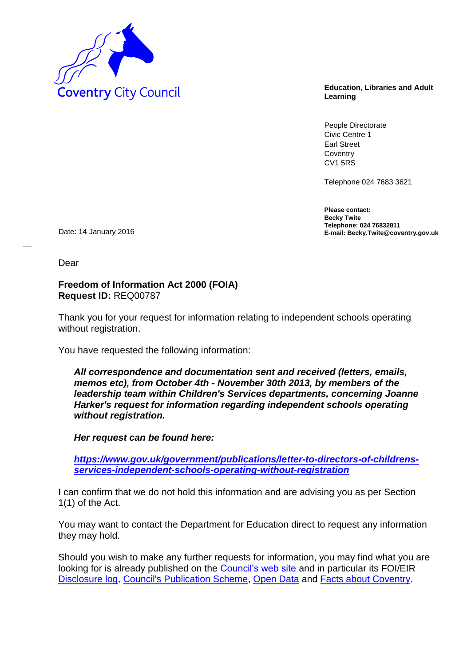

**Learning**

People Directorate Civic Centre 1 Earl Street **Coventry** CV1 5RS

Telephone 024 7683 3621

**Please contact: Becky Twite Telephone: 024 76832811** Date: 14 January 2016 **E-mail: Becky.Twite@coventry.gov.uk** 

Dear

## **Freedom of Information Act 2000 (FOIA) Request ID:** REQ00787

Thank you for your request for information relating to independent schools operating without registration.

You have requested the following information:

*All correspondence and documentation sent and received (letters, emails, memos etc), from October 4th - November 30th 2013, by members of the leadership team within Children's Services departments, concerning Joanne Harker's request for information regarding independent schools operating without registration.* 

*Her request can be found here:* 

*[https://www.gov.uk/government/publications/letter-to-directors-of-childrens](https://www.gov.uk/government/publications/letter-to-directors-of-childrens-services-independent-schools-operating-without-registration)[services-independent-schools-operating-without-registration](https://www.gov.uk/government/publications/letter-to-directors-of-childrens-services-independent-schools-operating-without-registration)*

I can confirm that we do not hold this information and are advising you as per Section 1(1) of the Act.

You may want to contact the Department for Education direct to request any information they may hold.

Should you wish to make any further requests for information, you may find what you are looking for is already published on the [Council's web site](http://www.coventry.gov.uk/) and in particular its FOI/EIR [Disclosure log,](http://www.coventry.gov.uk/foieirrequests) [Council's Publication Scheme,](http://www.coventry.gov.uk/publicationscheme) [Open Data](http://www.coventry.gov.uk/opendata) and [Facts about Coventry.](http://www.coventry.gov.uk/factsaboutcoventry)